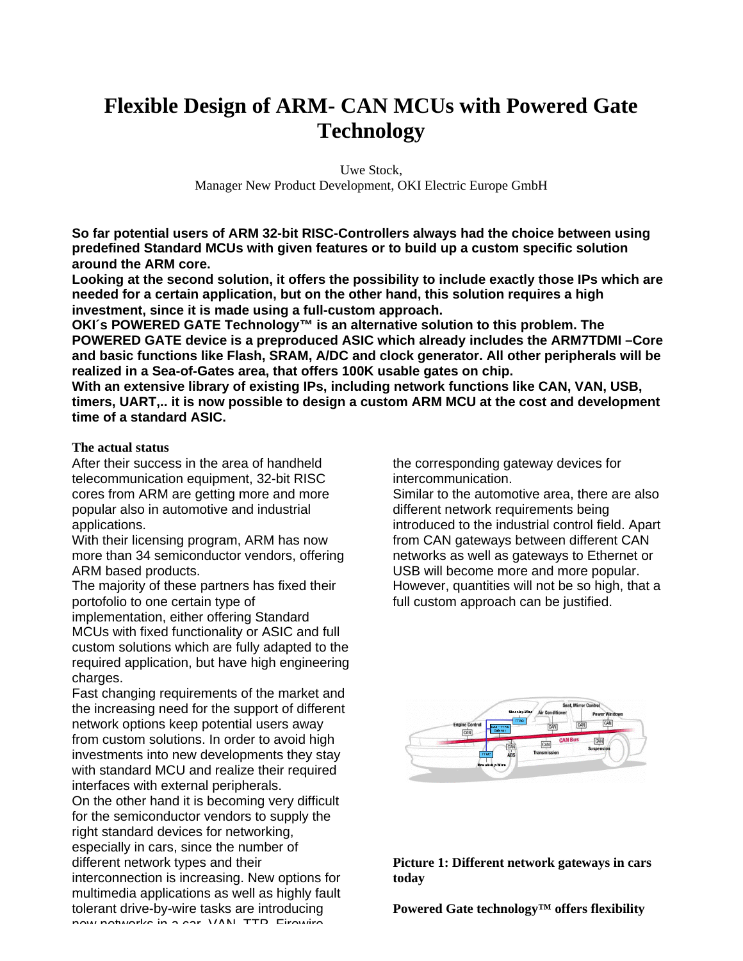# **Flexible Design of ARM- CAN MCUs with Powered Gate Technology**

Uwe Stock, Manager New Product Development, OKI Electric Europe GmbH

**So far potential users of ARM 32-bit RISC-Controllers always had the choice between using predefined Standard MCUs with given features or to build up a custom specific solution around the ARM core.**

**Looking at the second solution, it offers the possibility to include exactly those IPs which are needed for a certain application, but on the other hand, this solution requires a high investment, since it is made using a full-custom approach.**

**OKI´s POWERED GATE Technology™ is an alternative solution to this problem. The POWERED GATE device is a preproduced ASIC which already includes the ARM7TDMI –Core and basic functions like Flash, SRAM, A/DC and clock generator. All other peripherals will be realized in a Sea-of-Gates area, that offers 100K usable gates on chip.**

**With an extensive library of existing IPs, including network functions like CAN, VAN, USB, timers, UART,.. it is now possible to design a custom ARM MCU at the cost and development time of a standard ASIC.**

**The actual status**

After their success in the area of handheld telecommunication equipment, 32-bit RISC cores from ARM are getting more and more popular also in automotive and industrial applications.

With their licensing program, ARM has now more than 34 semiconductor vendors, offering ARM based products.

The majority of these partners has fixed their portofolio to one certain type of

implementation, either offering Standard MCUs with fixed functionality or ASIC and full custom solutions which are fully adapted to the required application, but have high engineering charges.

Fast changing requirements of the market and the increasing need for the support of different network options keep potential users away from custom solutions. In order to avoid high investments into new developments they stay with standard MCU and realize their required interfaces with external peripherals.

On the other hand it is becoming very difficult for the semiconductor vendors to supply the right standard devices for networking, especially in cars, since the number of different network types and their interconnection is increasing. New options for multimedia applications as well as highly fault tolerant drive-by-wire tasks are introducing

new networks in a car. VAN, TTP, Firewire

the corresponding gateway devices for intercommunication.

Similar to the automotive area, there are also different network requirements being introduced to the industrial control field. Apart from CAN gateways between different CAN networks as well as gateways to Ethernet or USB will become more and more popular. However, quantities will not be so high, that a full custom approach can be justified.



**Picture 1: Different network gateways in cars today**

**Powered Gate technology™ offers flexibility**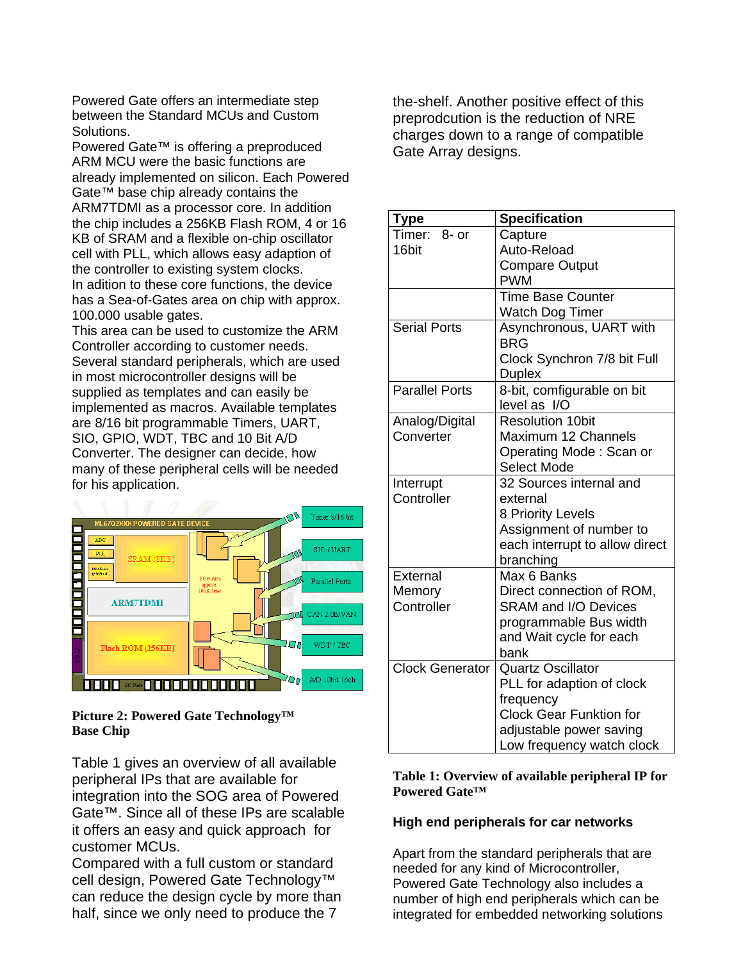Powered Gate offers an intermediate step between the Standard MCUs and Custom Solutions.

Powered Gate™ is offering a preproduced ARM MCU were the basic functions are already implemented on silicon. Each Powered Gate™ base chip already contains the ARM7TDMI as a processor core. In addition the chip includes a 256KB Flash ROM, 4 or 16 KB of SRAM and a flexible on-chip oscillator cell with PLL, which allows easy adaption of the controller to existing system clocks. In adition to these core functions, the device has a Sea-of-Gates area on chip with approx. 100.000 usable gates.

This area can be used to customize the ARM Controller according to customer needs. Several standard peripherals, which are used in most microcontroller designs will be supplied as templates and can easily be implemented as macros. Available templates are 8/16 bit programmable Timers, UART, SIO, GPIO, WDT, TBC and 10 Bit A/D Converter. The designer can decide, how many of these peripheral cells will be needed for his application.



# **Picture 2: Powered Gate Technology™ Base Chip**

Table 1 gives an overview of all available peripheral IPs that are available for integration into the SOG area of Powered Gate™. Since all of these IPs are scalable it offers an easy and quick approach for customer MCUs.

Compared with a full custom or standard cell design, Powered Gate Technology<sup>™</sup> can reduce the design cycle by more than half, since we only need to produce the 7

the-shelf. Another positive effect of this preprodcution is the reduction of NRE charges down to a range of compatible Gate Array designs.

| Type                   | <b>Specification</b>            |
|------------------------|---------------------------------|
| Timer:<br>$8-$ or      | Capture                         |
| 16bit                  | Auto-Reload                     |
|                        | <b>Compare Output</b>           |
|                        | <b>PWM</b>                      |
|                        | <b>Time Base Counter</b>        |
|                        | Watch Dog Timer                 |
| Serial Ports           | Asynchronous, UART with         |
|                        | <b>BRG</b>                      |
|                        | Clock Synchron 7/8 bit Full     |
|                        | <b>Duplex</b>                   |
| <b>Parallel Ports</b>  | 8-bit, comfigurable on bit      |
|                        | level as I/O                    |
| Analog/Digital         | <b>Resolution 10bit</b>         |
| Converter              | Maximum 12 Channels             |
|                        | Operating Mode: Scan or         |
|                        | <b>Select Mode</b>              |
| Interrupt              | 32 Sources internal and         |
| Controller             | external                        |
|                        | 8 Priority Levels               |
|                        | Assignment of number to         |
|                        | each interrupt to allow direct  |
|                        | branching                       |
| External               | Max 6 Banks                     |
| Memory<br>Controller   | Direct connection of ROM,       |
|                        | <b>SRAM and I/O Devices</b>     |
|                        | programmable Bus width          |
|                        | and Wait cycle for each<br>bank |
| <b>Clock Generator</b> | <b>Quartz Oscillator</b>        |
|                        | PLL for adaption of clock       |
|                        | frequency                       |
|                        | <b>Clock Gear Funktion for</b>  |
|                        |                                 |
|                        | adjustable power saving         |

## **Table 1: Overview of available peripheral IP for Powered Gate™**

# **High end peripherals for car networks**

Apart from the standard peripherals that are needed for any kind of Microcontroller, Powered Gate Technology also includes a number of high end peripherals which can be integrated for embedded networking solutions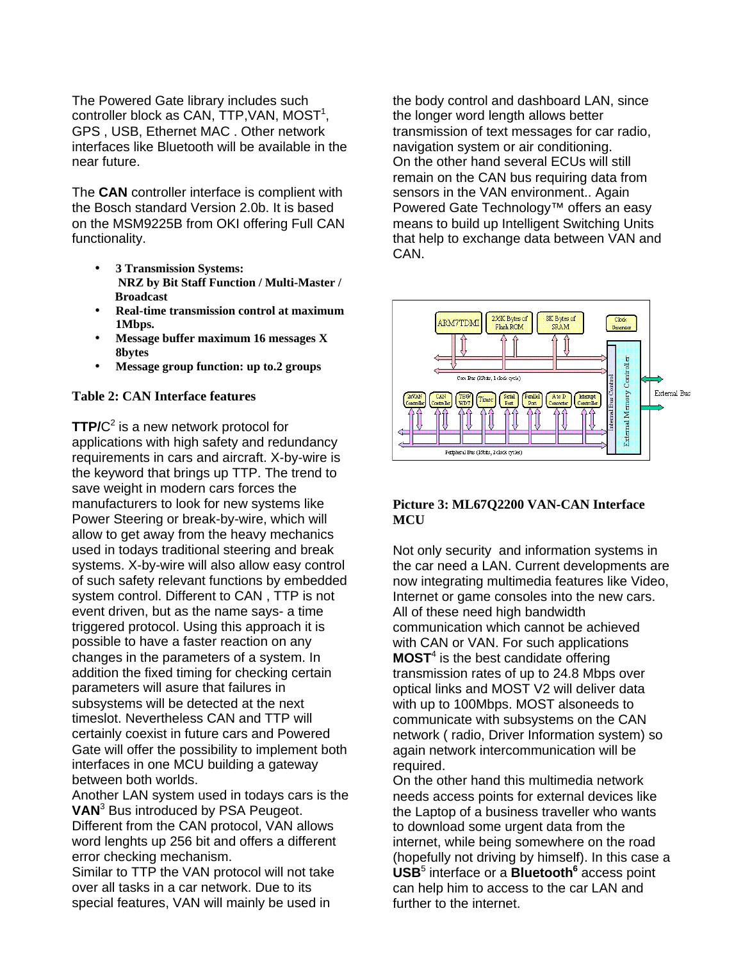The Powered Gate library includes such  $\text{controller block}$  as CAN, TTP, VAN, MOST<sup>1</sup>, GPS , USB, Ethernet MAC . Other network interfaces like Bluetooth will be available in the near future.

The **CAN** controller interface is complient with the Bosch standard Version 2.0b. It is based on the MSM9225B from OKI offering Full CAN functionality.

- **3 Transmission Systems: NRZ by Bit Staff Function / Multi-Master / Broadcast**
- **Real-time transmission control at maximum 1Mbps.**
- **Message buffer maximum 16 messages X 8bytes**
- **Message group function: up to.2 groups**

## **Table 2: CAN Interface features**

**TTP/**C 2 is a new network protocol for applications with high safety and redundancy requirements in cars and aircraft. X-by-wire is the keyword that brings up TTP. The trend to save weight in modern cars forces the manufacturers to look for new systems like Power Steering or break-by-wire, which will allow to get away from the heavy mechanics used in todays traditional steering and break systems. X-by-wire will also allow easy control of such safety relevant functions by embedded system control. Different to CAN , TTP is not event driven, but as the name says- a time triggered protocol. Using this approach it is possible to have a faster reaction on any changes in the parameters of a system. In addition the fixed timing for checking certain parameters will asure that failures in subsystems will be detected at the next timeslot. Nevertheless CAN and TTP will certainly coexist in future cars and Powered Gate will offer the possibility to implement both interfaces in one MCU building a gateway between both worlds.

Another LAN system used in todays cars is the **VAN**<sup>3</sup> Bus introduced by PSA Peugeot. Different from the CAN protocol, VAN allows word lenghts up 256 bit and offers a different error checking mechanism.

Similar to TTP the VAN protocol will not take over all tasks in a car network. Due to its special features, VAN will mainly be used in

the body control and dashboard LAN, since the longer word length allows better transmission of text messages for car radio, navigation system or air conditioning. On the other hand several ECUs will still remain on the CAN bus requiring data from sensors in the VAN environment.. Again Powered Gate Technology™ offers an easy means to build up Intelligent Switching Units that help to exchange data between VAN and CAN.



## **Picture 3: ML67Q2200 VAN-CAN Interface MCU**

Not only security and information systems in the car need a LAN. Current developments are now integrating multimedia features like Video, Internet or game consoles into the new cars. All of these need high bandwidth communication which cannot be achieved with CAN or VAN. For such applications **MOST**<sup>4</sup> is the best candidate offering transmission rates of up to 24.8 Mbps over optical links and MOST V2 will deliver data with up to 100Mbps. MOST alsoneeds to communicate with subsystems on the CAN network ( radio, Driver Information system) so again network intercommunication will be required.

On the other hand this multimedia network needs access points for external devices like the Laptop of a business traveller who wants to download some urgent data from the internet, while being somewhere on the road (hopefully not driving by himself). In this case a **USB**<sup>5</sup> interface or a **Bluetooth<sup>6</sup>** access point can help him to access to the car LAN and further to the internet.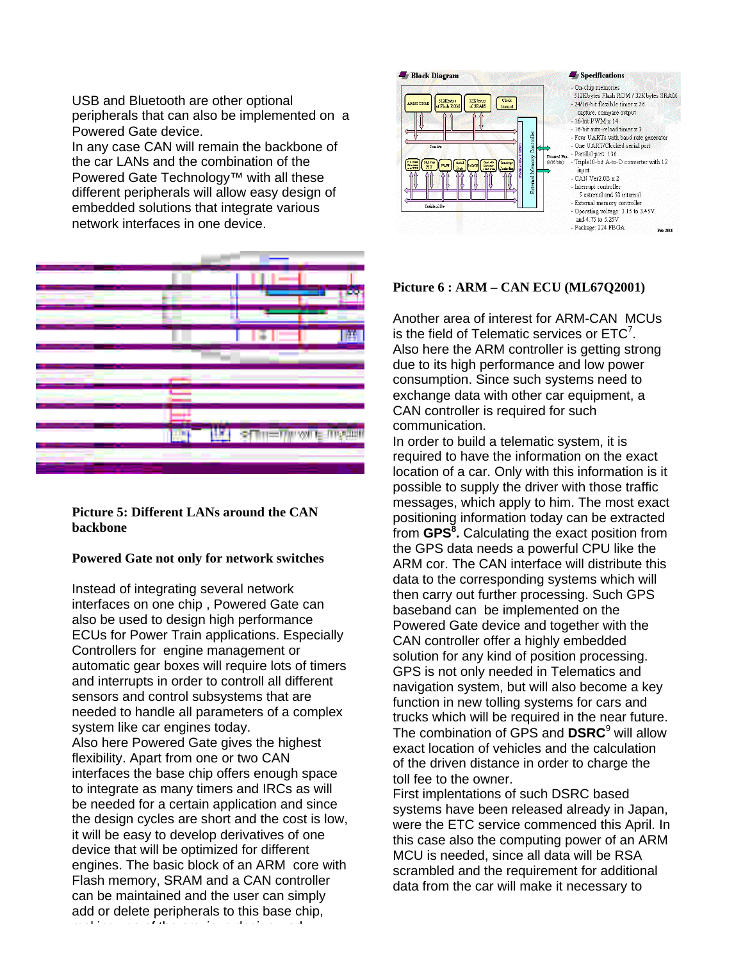USB and Bluetooth are other optional peripherals that can also be implemented on a Powered Gate device.

In any case CAN will remain the backbone of the car LANs and the combination of the Powered Gate Technology™ with all these different peripherals will allow easy design of embedded solutions that integrate various network interfaces in one device.



**Picture 5: Different LANs around the CAN backbone**

## **Powered Gate not only for network switches**

Instead of integrating several network interfaces on one chip , Powered Gate can also be used to design high performance ECUs for Power Train applications. Especially Controllers for engine management or automatic gear boxes will require lots of timers and interrupts in order to controll all different sensors and control subsystems that are needed to handle all parameters of a complex system like car engines today. Also here Powered Gate gives the highest flexibility. Apart from one or two CAN interfaces the base chip offers enough space to integrate as many timers and IRCs as will be needed for a certain application and since the design cycles are short and the cost is low, it will be easy to develop derivatives of one device that will be optimized for different engines. The basic block of an ARM core with Flash memory, SRAM and a CAN controller can be maintained and the user can simply add or delete peripherals to this base chip,

making use of the previous design work.



#### **Picture 6 : ARM – CAN ECU (ML67Q2001)**

Another area of interest for ARM-CAN MCUs is the field of Telematic services or  $ETC<sup>7</sup>$ . Also here the ARM controller is getting strong due to its high performance and low power consumption. Since such systems need to exchange data with other car equipment, a CAN controller is required for such communication.

In order to build a telematic system, it is required to have the information on the exact location of a car. Only with this information is it possible to supply the driver with those traffic messages, which apply to him. The most exact positioning information today can be extracted from **GPS<sup>8</sup> .** Calculating the exact position from the GPS data needs a powerful CPU like the ARM cor. The CAN interface will distribute this data to the corresponding systems which will then carry out further processing. Such GPS baseband can be implemented on the Powered Gate device and together with the CAN controller offer a highly embedded solution for any kind of position processing. GPS is not only needed in Telematics and navigation system, but will also become a key function in new tolling systems for cars and trucks which will be required in the near future. The combination of GPS and **DSRC**<sup>9</sup> will allow exact location of vehicles and the calculation of the driven distance in order to charge the toll fee to the owner.

First implentations of such DSRC based systems have been released already in Japan, were the ETC service commenced this April. In this case also the computing power of an ARM MCU is needed, since all data will be RSA scrambled and the requirement for additional data from the car will make it necessary to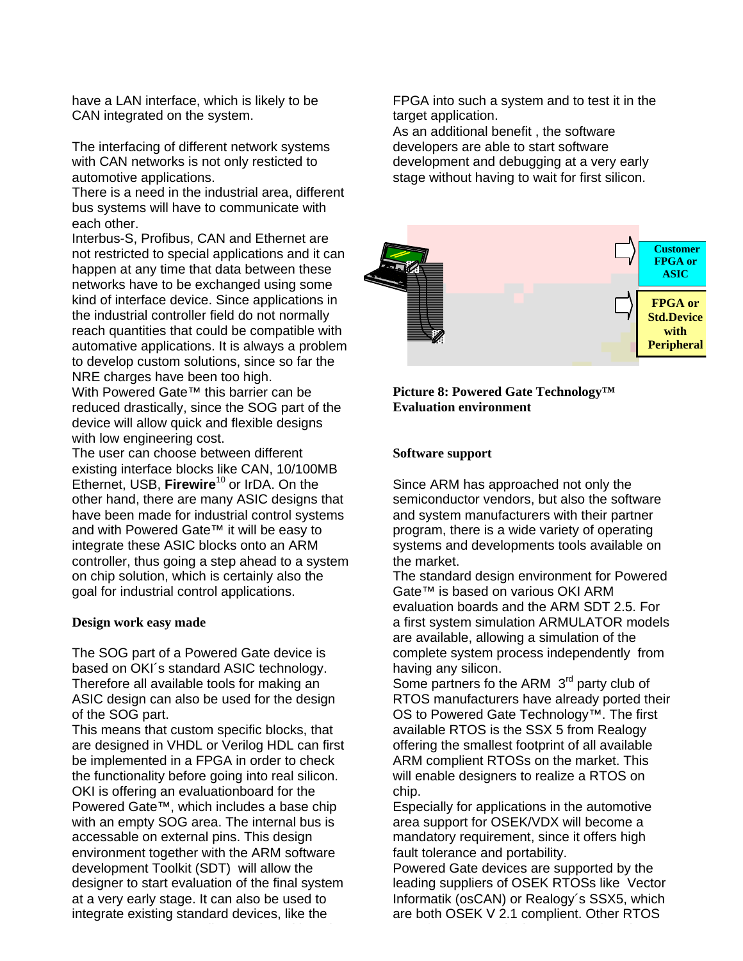have a LAN interface, which is likely to be CAN integrated on the system.

The interfacing of different network systems with CAN networks is not only resticted to automotive applications.

There is a need in the industrial area, different bus systems will have to communicate with each other.

Interbus-S, Profibus, CAN and Ethernet are not restricted to special applications and it can happen at any time that data between these networks have to be exchanged using some kind of interface device. Since applications in the industrial controller field do not normally reach quantities that could be compatible with automative applications. It is always a problem to develop custom solutions, since so far the NRE charges have been too high.

With Powered Gate<sup>™</sup> this barrier can be reduced drastically, since the SOG part of the device will allow quick and flexible designs with low engineering cost.

The user can choose between different existing interface blocks like CAN, 10/100MB Ethernet, USB, Firewire<sup>10</sup> or IrDA. On the other hand, there are many ASIC designs that have been made for industrial control systems and with Powered Gate™ it will be easy to integrate these ASIC blocks onto an ARM controller, thus going a step ahead to a system on chip solution, which is certainly also the goal for industrial control applications.

#### **Design work easy made**

The SOG part of a Powered Gate device is based on OKI´s standard ASIC technology. Therefore all available tools for making an ASIC design can also be used for the design of the SOG part.

This means that custom specific blocks, that are designed in VHDL or Verilog HDL can first be implemented in a FPGA in order to check the functionality before going into real silicon. OKI is offering an evaluationboard for the Powered Gate™, which includes a base chip with an empty SOG area. The internal bus is accessable on external pins. This design environment together with the ARM software development Toolkit (SDT) will allow the designer to start evaluation of the final system at a very early stage. It can also be used to integrate existing standard devices, like the

FPGA into such a system and to test it in the target application.

As an additional benefit , the software developers are able to start software development and debugging at a very early stage without having to wait for first silicon.



**Picture 8: Powered Gate Technology™ Evaluation environment**

#### **Software support**

Since ARM has approached not only the semiconductor vendors, but also the software and system manufacturers with their partner program, there is a wide variety of operating systems and developments tools available on the market.

The standard design environment for Powered Gate™ is based on various OKI ARM evaluation boards and the ARM SDT 2.5. For a first system simulation ARMULATOR models are available, allowing a simulation of the complete system process independently from having any silicon.

Some partners fo the ARM 3<sup>rd</sup> party club of RTOS manufacturers have already ported their OS to Powered Gate Technology™. The first available RTOS is the SSX 5 from Realogy offering the smallest footprint of all available ARM complient RTOSs on the market. This will enable designers to realize a RTOS on chip.

Especially for applications in the automotive area support for OSEK/VDX will become a mandatory requirement, since it offers high fault tolerance and portability.

Powered Gate devices are supported by the leading suppliers of OSEK RTOSs like Vector Informatik (osCAN) or Realogy´s SSX5, which are both OSEK V 2.1 complient. Other RTOS